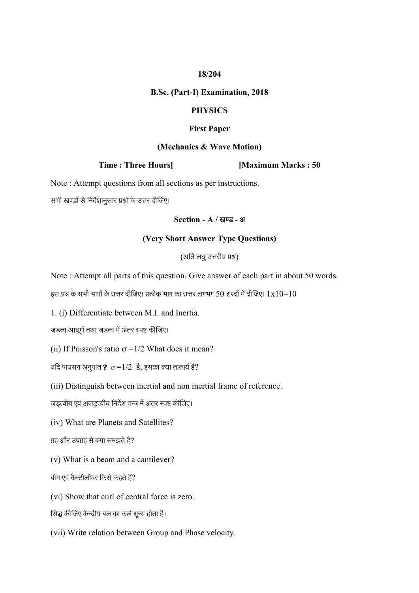## **18/204**

#### **B.Sc. (Part-I) Examination, 2018**

#### **PHYSICS**

#### **First Paper**

#### **(Mechanics & Wave Motion)**

**Time : Three Hours] [Maximum Marks : 50**

Note : Attempt questions from all sections as per instructions.

सभी खण्डों से निर्देशानुसार प्रश्नों के उत्तर दीजिए।

#### **Section - A /** खण्ड **-** अ

## **(Very Short Answer Type Questions)**

(अति लघुउत्तरीय प्रश्न)

Note : Attempt all parts of this question. Give answer of each part in about 50 words.

इस प्रश्न के सभी भागों के उत्तर दीजिए। प्रत्येक भाग का उत्तर लगभग 50 शब्दों में दीजिए।  $1\mathrm{x}10{=}10$ 

1. (i) Differentiate between M.I. and Inertia.

जड़त्व आघूर्ण तथा जड़त्व में अंतर स्पष्ट कीजिए।

(ii) If Poisson's ratio  $\sigma = 1/2$  What does it mean?

यदि पायसन अनुपात $\rm \, {\bf 2} \, \, \, \sigma$   $=$ 1/2  $\rm \, \, \,$ है, इसका क्या तात्पर्य है?

(iii) Distinguish between inertial and non inertial frame of reference.

जड़त्वीय एवं अजड़त्वीय निर्देश तन्त्र में अंतर स्पष्ट कीजिए।

(iv) What are Planets and Satellites?

ग्रह और उपग्रह से क्या समझते हैं?

(v) What is a beam and a cantilever?

बीम एवं कैन्टीलीवर किसे कहते हैं?

(vi) Show that curl of central force is zero.

सिद्ध कीजिए केन्द्रीय बल का कर्ल शून्य होता है।

(vii) Write relation between Group and Phase velocity.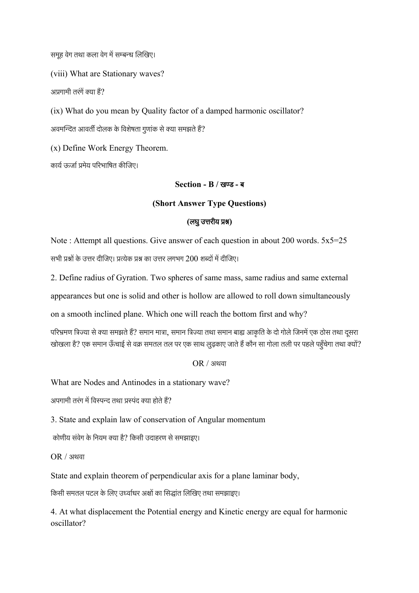समूह वेग तथा कला वेग में सम्बन्ध लिखिए।

(viii) What are Stationary waves?

अप्रगामी तरंगें क्या हैं?

(ix) What do you mean by Quality factor of a damped harmonic oscillator?

अवमन्दित आवर्ती दोलक के विशेषता गुणांक से क्या समझते हैं?

(x) Define Work Energy Theorem.

कार्य ऊर्जा प्रमेय परिभाषित कीजिए।

**Section - B /** खण्ड **-** ब

## **(Short Answer Type Questions)**

## **(**लघुउत्तरीय प्रश्न**)**

Note : Attempt all questions. Give answer of each question in about 200 words.  $5x5=25$ सभी प्रश्नों के उत्तर र्देीजिए। प्रत्येक प्रश्न का उत्तर लगभग 200 शब्र्देों मेंर्देीजिए।

2. Define radius of Gyration. Two spheres of same mass, same radius and same external

appearances but one is solid and other is hollow are allowed to roll down simultaneously

on a smooth inclined plane. Which one will reach the bottom first and why?

परिभ्रमण त्रिज्या से क्या समझते हैं? समान मात्रा, समान त्रिज्या तथा समान बाह्य आकृति के दो गोले जिनमें एक ठोस तथा दूसरा खोखला है? एक समान ऊँचाई से वक्र समतल तल पर एक साथ लुढ़काए जाते हैं कौन सा गोला तली पर पहले पहुँचेगा तथा क्यों?

OR / अथवा

What are Nodes and Antinodes in a stationary wave?

अपगामी तरंग में विस्पन्द तथा प्रस्पंद क्या होते हैं?

3. State and explain law of conservation of Angular momentum

कोणीय संवेग के नियम क्या है? किसी उदाहरण से समझाइए।

OR / अथवा

State and explain theorem of perpendicular axis for a plane laminar body,

किसी समतल पटल के लिए उर्ध्वाधर अक्षों का सिद्धांत लिखिए तथा समझाइए।

4. At what displacement the Potential energy and Kinetic energy are equal for harmonic oscillator?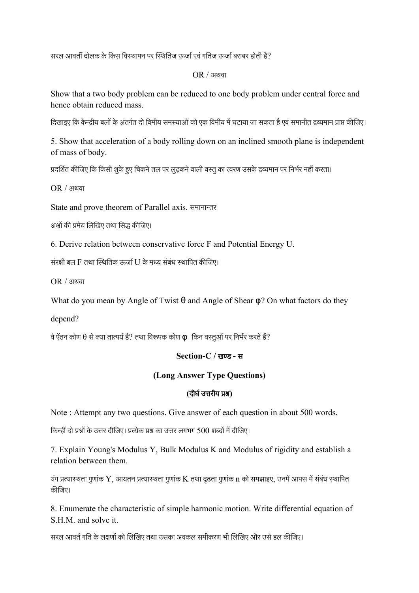सरल आवर्ती दोलक के किस विस्थापन पर स्थितिज ऊर्जा एवं गतिज ऊर्जा बराबर होती है?

## OR / अथवा

Show that a two body problem can be reduced to one body problem under central force and hence obtain reduced mass.

दिखाइए कि केन्द्रीय बलों के अंतर्गत दो विमीय समस्याओं को एक विमीय में घटाया जा सकता है एवं समानीत द्रव्यमान प्राप्त कीजिए।

5. Show that acceleration of a body rolling down on an inclined smooth plane is independent of mass of body.

प्रदर्शित काजिए कि किसा शुके हुए चिकन तल पर लुढ़कन वाला वस्तु का त्वरण उसके द्रव्यमान पर निभर नहां करता।

OR / अथवा

State and prove theorem of Parallel axis. समानान्तर

अक्षों की प्रमेय लिखिए तथा सिद्ध कीजिए।

6. Derive relation between conservative force F and Potential Energy U.

संरक्षी बल F तथा स्थितिक ऊर्जा U के मध्य संबंध स्थापित कीजिए।

OR / अथवा

What do you mean by Angle of Twist  $\theta$  and Angle of Shear  $\varphi$ ? On what factors do they

depend?

वे ऐंठन कोण  $\theta$  से क्या तात्पर्य है? तथा विरूपक कोण  $\pmb{\mathfrak{p}}$  किन वस्तुओं पर निर्भर करते हैं?

## **Section-C /** खण्ड **-** स

# **(Long Answer Type Questions)**

## **(**र्देीघ+उत्तरीय प्रश्न**)**

Note : Attempt any two questions. Give answer of each question in about 500 words.

निकन्हीं र्देो प्रश्नों के उत्तर र्देीजिए। प्रत्येक प्रश्न का उत्तर लगभग 500 शब्र्देों मेंर्देीजिए।

7. Explain Young's Modulus Y, Bulk Modulus K and Modulus of rigidity and establish a relation between them.

यंग प्रत्यास्थता गुणांक  $\rm Y$ , आयतन प्रत्यास्थता गुणांक  $\rm K$  तथा दृढ़ता गुणांक  $\rm n$  को समझाइए, उनमें आपस में संबंध स्थापित कीजिए।

8. Enumerate the characteristic of simple harmonic motion. Write differential equation of S.H.M. and solve it.

सरल आवर्त गति के लक्षणों को लिखिए तथा उसका अवकल समीकरण भी लिखिए और उसे हल कीजिए।